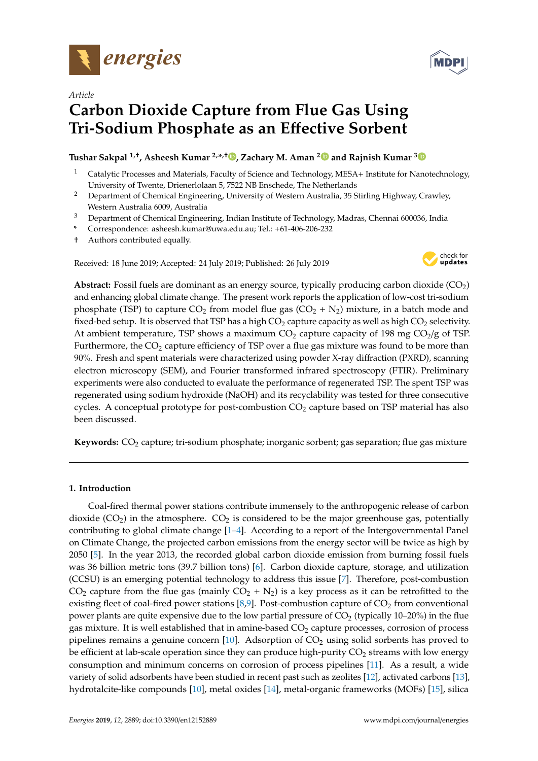

## *Article*

# **Carbon Dioxide Capture from Flue Gas Using Tri-Sodium Phosphate as an E**ff**ective Sorbent**

## **Tushar Sakpal 1,**† **, Asheesh Kumar 2,\* ,**† **, Zachary M. Aman <sup>2</sup> and Rajnish Kumar <sup>3</sup>**

- <sup>1</sup> Catalytic Processes and Materials, Faculty of Science and Technology, MESA+ Institute for Nanotechnology, University of Twente, Drienerlolaan 5, 7522 NB Enschede, The Netherlands
- <sup>2</sup> Department of Chemical Engineering, University of Western Australia, 35 Stirling Highway, Crawley, Western Australia 6009, Australia
- <sup>3</sup> Department of Chemical Engineering, Indian Institute of Technology, Madras, Chennai 600036, India
- **\*** Correspondence: asheesh.kumar@uwa.edu.au; Tel.: +61-406-206-232
- † Authors contributed equally.

Received: 18 June 2019; Accepted: 24 July 2019; Published: 26 July 2019



**Abstract:** Fossil fuels are dominant as an energy source, typically producing carbon dioxide (CO2) and enhancing global climate change. The present work reports the application of low-cost tri-sodium phosphate (TSP) to capture  $CO_2$  from model flue gas ( $CO_2 + N_2$ ) mixture, in a batch mode and fixed-bed setup. It is observed that TSP has a high  $CO<sub>2</sub>$  capture capacity as well as high  $CO<sub>2</sub>$  selectivity. At ambient temperature, TSP shows a maximum  $CO<sub>2</sub>$  capture capacity of 198 mg  $CO<sub>2</sub>/g$  of TSP. Furthermore, the  $CO<sub>2</sub>$  capture efficiency of TSP over a flue gas mixture was found to be more than 90%. Fresh and spent materials were characterized using powder X-ray diffraction (PXRD), scanning electron microscopy (SEM), and Fourier transformed infrared spectroscopy (FTIR). Preliminary experiments were also conducted to evaluate the performance of regenerated TSP. The spent TSP was regenerated using sodium hydroxide (NaOH) and its recyclability was tested for three consecutive cycles. A conceptual prototype for post-combustion  $CO<sub>2</sub>$  capture based on TSP material has also been discussed.

Keywords: CO<sub>2</sub> capture; tri-sodium phosphate; inorganic sorbent; gas separation; flue gas mixture

## **1. Introduction**

Coal-fired thermal power stations contribute immensely to the anthropogenic release of carbon dioxide  $(CO<sub>2</sub>)$  in the atmosphere.  $CO<sub>2</sub>$  is considered to be the major greenhouse gas, potentially contributing to global climate change [1–4]. According to a report of the Intergovernmental Panel on Climate Change, the projected carbon emissions from the energy sector will be twice as high by 2050 [5]. In the year 2013, the recorded global carbon dioxide emission from burning fossil fuels was 36 billion metric tons (39.7 billion tons) [6]. Carbon dioxide capture, storage, and utilization (CCSU) is an emerging potential technology to address this issue [7]. Therefore, post-combustion  $CO<sub>2</sub>$  capture from the flue gas (mainly  $CO<sub>2</sub> + N<sub>2</sub>$ ) is a key process as it can be retrofitted to the existing fleet of coal-fired power stations  $[8,9]$ . Post-combustion capture of  $CO<sub>2</sub>$  from conventional power plants are quite expensive due to the low partial pressure of  $CO<sub>2</sub>$  (typically 10–20%) in the flue gas mixture. It is well established that in amine-based  $CO<sub>2</sub>$  capture processes, corrosion of process pipelines remains a genuine concern  $[10]$ . Adsorption of  $CO<sub>2</sub>$  using solid sorbents has proved to be efficient at lab-scale operation since they can produce high-purity  $CO<sub>2</sub>$  streams with low energy consumption and minimum concerns on corrosion of process pipelines [11]. As a result, a wide variety of solid adsorbents have been studied in recent past such as zeolites [12], activated carbons [13], hydrotalcite-like compounds [10], metal oxides [14], metal-organic frameworks (MOFs) [15], silica

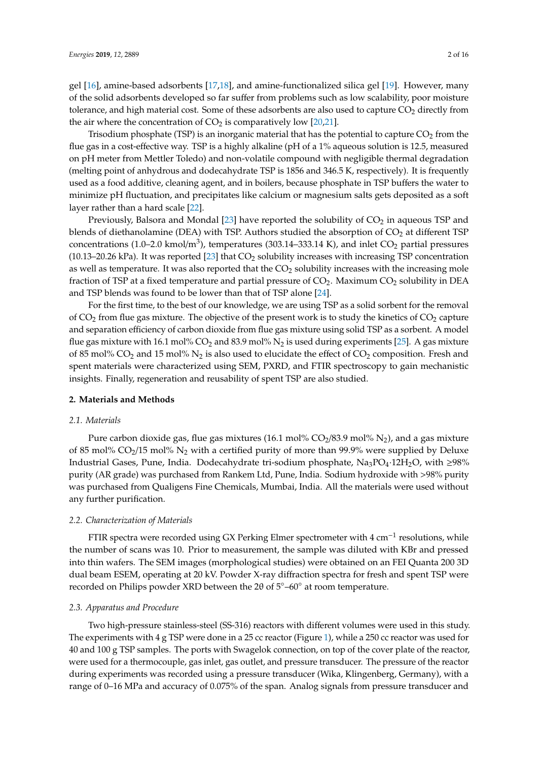gel [16], amine-based adsorbents [17,18], and amine-functionalized silica gel [19]. However, many of the solid adsorbents developed so far suffer from problems such as low scalability, poor moisture tolerance, and high material cost. Some of these adsorbents are also used to capture  $CO<sub>2</sub>$  directly from the air where the concentration of  $CO<sub>2</sub>$  is comparatively low [20,21].

Trisodium phosphate (TSP) is an inorganic material that has the potential to capture  $CO<sub>2</sub>$  from the flue gas in a cost-effective way. TSP is a highly alkaline (pH of a 1% aqueous solution is 12.5, measured on pH meter from Mettler Toledo) and non-volatile compound with negligible thermal degradation (melting point of anhydrous and dodecahydrate TSP is 1856 and 346.5 K, respectively). It is frequently used as a food additive, cleaning agent, and in boilers, because phosphate in TSP buffers the water to minimize pH fluctuation, and precipitates like calcium or magnesium salts gets deposited as a soft layer rather than a hard scale [22].

Previously, Balsora and Mondal [23] have reported the solubility of  $CO<sub>2</sub>$  in aqueous TSP and blends of diethanolamine (DEA) with TSP. Authors studied the absorption of  $CO<sub>2</sub>$  at different TSP concentrations (1.0–2.0 kmol/m<sup>3</sup>), temperatures (303.14–333.14 K), and inlet  $CO_2$  partial pressures (10.13–20.26 kPa). It was reported [23] that  $CO<sub>2</sub>$  solubility increases with increasing TSP concentration as well as temperature. It was also reported that the  $CO<sub>2</sub>$  solubility increases with the increasing mole fraction of TSP at a fixed temperature and partial pressure of  $CO<sub>2</sub>$ . Maximum  $CO<sub>2</sub>$  solubility in DEA and TSP blends was found to be lower than that of TSP alone [24].

For the first time, to the best of our knowledge, we are using TSP as a solid sorbent for the removal of  $CO<sub>2</sub>$  from flue gas mixture. The objective of the present work is to study the kinetics of  $CO<sub>2</sub>$  capture and separation efficiency of carbon dioxide from flue gas mixture using solid TSP as a sorbent. A model flue gas mixture with 16.1 mol%  $CO_2$  and 83.9 mol%  $N_2$  is used during experiments [25]. A gas mixture of 85 mol% CO<sub>2</sub> and 15 mol% N<sub>2</sub> is also used to elucidate the effect of CO<sub>2</sub> composition. Fresh and spent materials were characterized using SEM, PXRD, and FTIR spectroscopy to gain mechanistic insights. Finally, regeneration and reusability of spent TSP are also studied.

#### **2. Materials and Methods**

#### *2.1. Materials*

Pure carbon dioxide gas, flue gas mixtures (16.1 mol%  $CO<sub>2</sub>/83.9$  mol%  $N<sub>2</sub>$ ), and a gas mixture of 85 mol%  $CO<sub>2</sub>/15$  mol% N<sub>2</sub> with a certified purity of more than 99.9% were supplied by Deluxe Industrial Gases, Pune, India. Dodecahydrate tri-sodium phosphate,  $Na_3PO_4.12H_2O$ , with  $\geq 98\%$ purity (AR grade) was purchased from Rankem Ltd, Pune, India. Sodium hydroxide with >98% purity was purchased from Qualigens Fine Chemicals, Mumbai, India. All the materials were used without any further purification.

#### *2.2. Characterization of Materials*

FTIR spectra were recorded using GX Perking Elmer spectrometer with 4  $cm^{-1}$  resolutions, while the number of scans was 10. Prior to measurement, the sample was diluted with KBr and pressed into thin wafers. The SEM images (morphological studies) were obtained on an FEI Quanta 200 3D dual beam ESEM, operating at 20 kV. Powder X-ray diffraction spectra for fresh and spent TSP were recorded on Philips powder XRD between the 2θ of 5◦–60◦ at room temperature.

#### *2.3. Apparatus and Procedure*

Two high-pressure stainless-steel (SS-316) reactors with different volumes were used in this study. The experiments with 4 g TSP were done in a 25 cc reactor (Figure 1), while a 250 cc reactor was used for 40 and 100 g TSP samples. The ports with Swagelok connection, on top of the cover plate of the reactor, were used for a thermocouple, gas inlet, gas outlet, and pressure transducer. The pressure of the reactor during experiments was recorded using a pressure transducer (Wika, Klingenberg, Germany), with a range of 0–16 MPa and accuracy of 0.075% of the span. Analog signals from pressure transducer and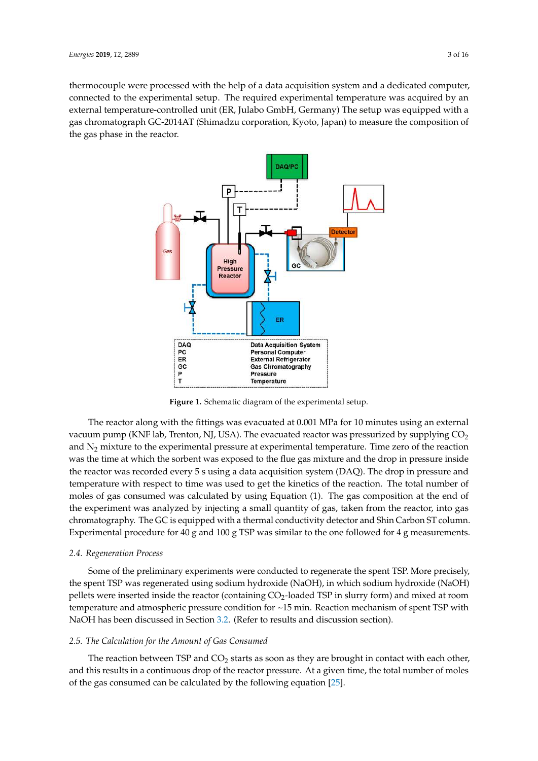thermocouple were processed with the help of a data acquisition system and a dedicated computer, connected to the experimental setup. The required experimental temperature was acquired by an external temperature-controlled unit (ER, Julabo GmbH, Germany) The setup was equipped with a gas chromatograph GC-2014AT (Shimadzu corporation, Kyoto, Japan) to measure the composition of the gas phase in the reactor.



**Figure 1.** Schematic diagram of the experimental setup.

The reactor along with the fittings was evacuated at 0.001 MPa for 10 minutes using an external vacuum pump (KNF lab, Trenton, NJ, USA). The evacuated reactor was pressurized by supplying  $CO<sub>2</sub>$ and N<sup>2</sup> mixture to the experimental pressure at experimental temperature. Time zero of the reaction was the time at which the sorbent was exposed to the flue gas mixture and the drop in pressure inside the reactor was recorded every 5 s using a data acquisition system (DAQ). The drop in pressure and temperature with respect to time was used to get the kinetics of the reaction. The total number of moles of gas consumed was calculated by using Equation (1). The gas composition at the end of the experiment was analyzed by injecting a small quantity of gas, taken from the reactor, into gas chromatography. The GC is equipped with a thermal conductivity detector and Shin Carbon ST column. Experimental procedure for 40 g and 100 g TSP was similar to the one followed for 4 g measurements.

#### *2.4. Regeneration Process*

Some of the preliminary experiments were conducted to regenerate the spent TSP. More precisely, the spent TSP was regenerated using sodium hydroxide (NaOH), in which sodium hydroxide (NaOH) pellets were inserted inside the reactor (containing CO2-loaded TSP in slurry form) and mixed at room temperature and atmospheric pressure condition for ~15 min. Reaction mechanism of spent TSP with NaOH has been discussed in Section 3.2. (Refer to results and discussion section).

#### *2.5. The Calculation for the Amount of Gas Consumed*

The reaction between TSP and  $CO<sub>2</sub>$  starts as soon as they are brought in contact with each other, and this results in a continuous drop of the reactor pressure. At a given time, the total number of moles of the gas consumed can be calculated by the following equation [25].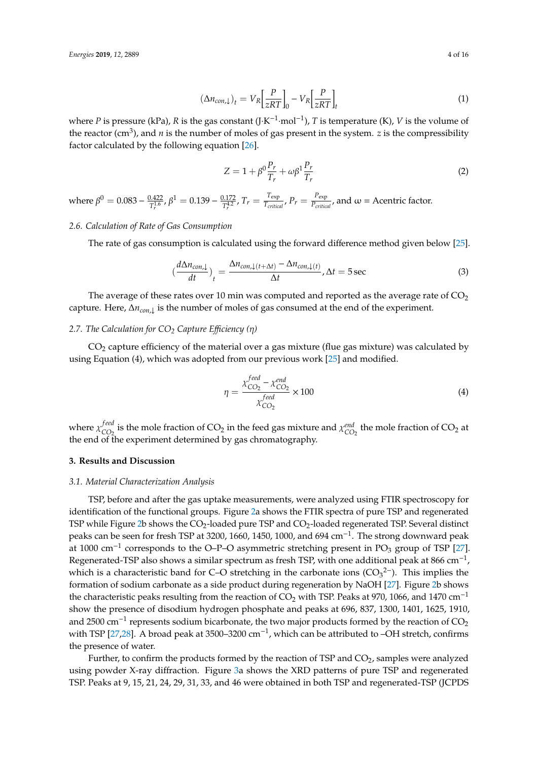$$
\left(\Delta n_{con,\downarrow}\right)_t = V_R \left[\frac{P}{zRT}\right]_0 - V_R \left[\frac{P}{zRT}\right]_t\tag{1}
$$

where *P* is pressure (kPa), *R* is the gas constant (J·K−<sup>1</sup> ·mol−<sup>1</sup> ), *T* is temperature (K), *V* is the volume of the reactor (cm<sup>3</sup>), and *n* is the number of moles of gas present in the system. *z* is the compressibility factor calculated by the following equation [26].

$$
Z = 1 + \beta^0 \frac{P_r}{T_r} + \omega \beta^1 \frac{P_r}{T_r}
$$
 (2)

where  $\beta^0 = 0.083 - \frac{0.422}{T^{1.6}}$  $\frac{0.422}{T_r^{1.6}}$ , β<sup>1</sup> = 0.139 −  $\frac{0.172}{T_r^{4.2}}$  $T_r^{\frac{4.2}{}}$ ,  $T_r = \frac{T_{\text{exp}}}{T_{\text{critic}}}$  $\frac{T_{\text{exp}}}{T_{\text{critical}}}$ ,  $P_r = \frac{P_{\text{exp}}}{P_{\text{critic}}}$  $\frac{P_{\text{exp}}}{P_{\text{critical}}}$ , and  $\omega =$  Acentric factor.

#### *2.6. Calculation of Rate of Gas Consumption*

The rate of gas consumption is calculated using the forward difference method given below [25].

$$
\left(\frac{d\Delta n_{con,\downarrow}}{dt}\right)_t = \frac{\Delta n_{con,\downarrow(t+\Delta t)} - \Delta n_{con,\downarrow(t)}}{\Delta t}, \Delta t = 5 \text{ sec}
$$
\n(3)

The average of these rates over 10 min was computed and reported as the average rate of  $CO<sub>2</sub>$ capture. Here,  $\Delta n_{con,\perp}$  is the number of moles of gas consumed at the end of the experiment.

#### *2.7. The Calculation for CO<sup>2</sup> Capture E*ffi*ciency (*η*)*

 $CO<sub>2</sub>$  capture efficiency of the material over a gas mixture (flue gas mixture) was calculated by using Equation (4), which was adopted from our previous work [25] and modified.

$$
\eta = \frac{\chi_{CO_2}^{feed} - \chi_{CO_2}^{end}}{\chi_{CO_2}^{feed}} \times 100
$$
\n(4)

where *χ<sup>feed</sup>*  $\chi^{real}_{CO_2}$  is the mole fraction of CO<sub>2</sub> in the feed gas mixture and  $\chi^{end}_{CO_2}$  the mole fraction of CO<sub>2</sub> at the end of the experiment determined by gas chromatography.

#### **3. Results and Discussion**

#### *3.1. Material Characterization Analysis*

TSP, before and after the gas uptake measurements, were analyzed using FTIR spectroscopy for identification of the functional groups. Figure 2a shows the FTIR spectra of pure TSP and regenerated TSP while Figure  $2b$  shows the  $CO_2$ -loaded pure TSP and  $CO_2$ -loaded regenerated TSP. Several distinct peaks can be seen for fresh TSP at 3200, 1660, 1450, 1000, and 694 cm $^{-1}$ . The strong downward peak at 1000 cm<sup>-1</sup> corresponds to the O–P–O asymmetric stretching present in PO<sub>3</sub> group of TSP [27]. Regenerated-TSP also shows a similar spectrum as fresh TSP, with one additional peak at 866 cm<sup>-1</sup>, which is a characteristic band for C–O stretching in the carbonate ions  $(CO_3^2)$ . This implies the formation of sodium carbonate as a side product during regeneration by NaOH [27]. Figure 2b shows the characteristic peaks resulting from the reaction of  $CO_2$  with TSP. Peaks at 970, 1066, and 1470 cm<sup>-1</sup> show the presence of disodium hydrogen phosphate and peaks at 696, 837, 1300, 1401, 1625, 1910, and 2500 cm<sup>-1</sup> represents sodium bicarbonate, the two major products formed by the reaction of  $CO_2$ with TSP [27,28]. A broad peak at 3500–3200 cm<sup>-1</sup>, which can be attributed to –OH stretch, confirms the presence of water.

Further, to confirm the products formed by the reaction of TSP and  $CO<sub>2</sub>$ , samples were analyzed using powder X-ray diffraction. Figure 3a shows the XRD patterns of pure TSP and regenerated TSP. Peaks at 9, 15, 21, 24, 29, 31, 33, and 46 were obtained in both TSP and regenerated-TSP (JCPDS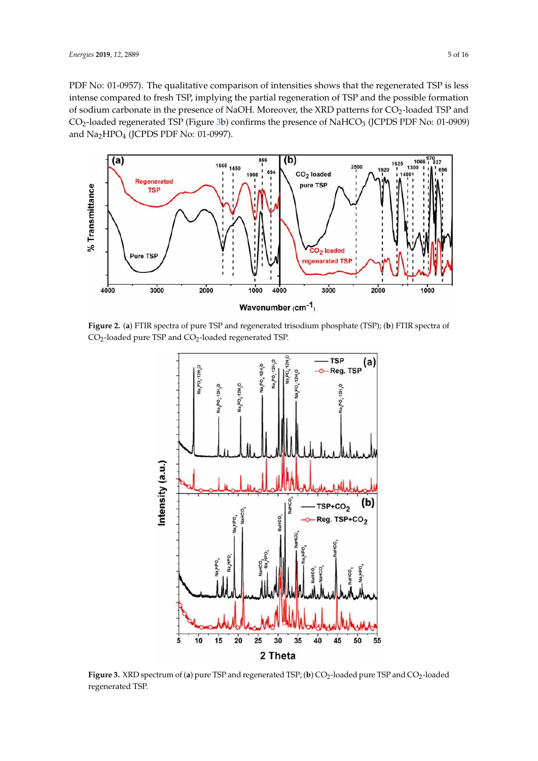PDF No: 01-0957). The qualitative comparison of intensities shows that the regenerated TSP is less intense compared to fresh TSP, implying the partial regeneration of TSP and the possible formation of sodium carbonate in the presence of NaOH. Moreover, the XRD patterns for CO<sub>2</sub>-loaded TSP and CO<sub>2</sub>-loaded regenerated TSP (Figure 3b) confirms the presence of NaHCO<sub>3</sub> (JCPDS PDF No: 01-0909) and Na<sub>2</sub>HPO<sub>4</sub> (JCPDS PDF No: 01-0997).



**Figure 2.** (**a**) FTIR spectra of pure TSP and regenerated trisodium phosphate (TSP); (**b**) FTIR spectra of  $\rm CO_2$ -loaded pure TSP and  $\rm CO_2$ -loaded regenerated TSP.



**Figure 3.** XRD spectrum of (**a**) pure TSP and regenerated TSP; (**b**) CO<sub>2</sub>-loaded pure TSP and CO<sub>2</sub>-loaded regenerated TSP.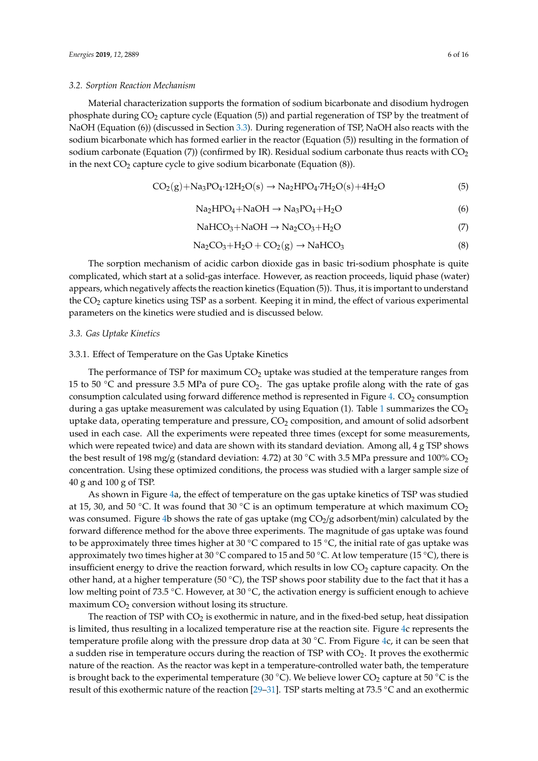### *3.2. Sorption Reaction Mechanism*

Material characterization supports the formation of sodium bicarbonate and disodium hydrogen phosphate during  $CO<sub>2</sub>$  capture cycle (Equation (5)) and partial regeneration of TSP by the treatment of NaOH (Equation (6)) (discussed in Section 3.3). During regeneration of TSP, NaOH also reacts with the sodium bicarbonate which has formed earlier in the reactor (Equation (5)) resulting in the formation of sodium carbonate (Equation (7)) (confirmed by IR). Residual sodium carbonate thus reacts with  $CO<sub>2</sub>$ in the next  $CO<sub>2</sub>$  capture cycle to give sodium bicarbonate (Equation (8)).

$$
CO2(g) + Na3PO4·12H2O(s) \rightarrow Na2HPO4·7H2O(s) + 4H2O
$$
 (5)

$$
Na2HPO4+NaOH \rightarrow Na3PO4+H2O
$$
 (6)

$$
NaHCO3+NaOH \rightarrow Na2CO3+H2O
$$
 (7)

$$
Na2CO3+H2O + CO2(g) \rightarrow NaHCO3
$$
\n(8)

The sorption mechanism of acidic carbon dioxide gas in basic tri-sodium phosphate is quite complicated, which start at a solid-gas interface. However, as reaction proceeds, liquid phase (water) appears, which negatively affects the reaction kinetics (Equation (5)). Thus, it is important to understand the CO<sup>2</sup> capture kinetics using TSP as a sorbent. Keeping it in mind, the effect of various experimental parameters on the kinetics were studied and is discussed below.

#### *3.3. Gas Uptake Kinetics*

## 3.3.1. Effect of Temperature on the Gas Uptake Kinetics

The performance of TSP for maximum  $CO<sub>2</sub>$  uptake was studied at the temperature ranges from 15 to 50  $\degree$ C and pressure 3.5 MPa of pure CO<sub>2</sub>. The gas uptake profile along with the rate of gas consumption calculated using forward difference method is represented in Figure 4.  $CO<sub>2</sub>$  consumption during a gas uptake measurement was calculated by using Equation (1). Table 1 summarizes the  $CO<sub>2</sub>$ uptake data, operating temperature and pressure,  $CO<sub>2</sub>$  composition, and amount of solid adsorbent used in each case. All the experiments were repeated three times (except for some measurements, which were repeated twice) and data are shown with its standard deviation. Among all, 4 g TSP shows the best result of 198 mg/g (standard deviation: 4.72) at 30 °C with 3.5 MPa pressure and 100%  $CO<sub>2</sub>$ concentration. Using these optimized conditions, the process was studied with a larger sample size of 40 g and 100 g of TSP.

As shown in Figure 4a, the effect of temperature on the gas uptake kinetics of TSP was studied at 15, 30, and 50 °C. It was found that 30 °C is an optimum temperature at which maximum  $CO_2$ was consumed. Figure 4b shows the rate of gas uptake (mg  $CO<sub>2</sub>/g$  adsorbent/min) calculated by the forward difference method for the above three experiments. The magnitude of gas uptake was found to be approximately three times higher at 30 ◦C compared to 15 ◦C, the initial rate of gas uptake was approximately two times higher at 30 °C compared to 15 and 50 °C. At low temperature (15 °C), there is insufficient energy to drive the reaction forward, which results in low  $CO<sub>2</sub>$  capture capacity. On the other hand, at a higher temperature (50 °C), the TSP shows poor stability due to the fact that it has a low melting point of 73.5 ◦C. However, at 30 ◦C, the activation energy is sufficient enough to achieve maximum  $CO<sub>2</sub>$  conversion without losing its structure.

The reaction of TSP with  $CO<sub>2</sub>$  is exothermic in nature, and in the fixed-bed setup, heat dissipation is limited, thus resulting in a localized temperature rise at the reaction site. Figure 4c represents the temperature profile along with the pressure drop data at 30 ◦C. From Figure 4c, it can be seen that a sudden rise in temperature occurs during the reaction of TSP with  $CO<sub>2</sub>$ . It proves the exothermic nature of the reaction. As the reactor was kept in a temperature-controlled water bath, the temperature is brought back to the experimental temperature (30 °C). We believe lower CO<sub>2</sub> capture at 50 °C is the result of this exothermic nature of the reaction [29–31]. TSP starts melting at 73.5 ◦C and an exothermic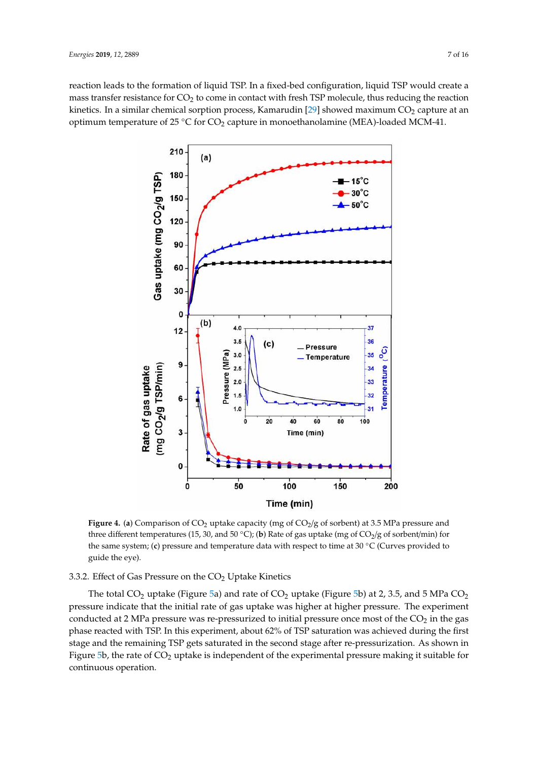reaction leads to the formation of liquid TSP. In a fixed-bed configuration, liquid TSP would create a mass transfer resistance for  $CO<sub>2</sub>$  to come in contact with fresh TSP molecule, thus reducing the reaction kinetics. In a similar chemical sorption process, Kamarudin [29] showed maximum  $CO<sub>2</sub>$  capture at an optimum temperature of 25  $\degree$ C for CO<sub>2</sub> capture in monoethanolamine (MEA)-loaded MCM-41.



**Figure 4. (a) Comparison of**  $CO_2$  **uptake capacity (mg of**  $CO_2/g$  **of sorbent) at 3.5 MPa pressure and** three different temperatures (15, 30, and 50 °C); (**b**) Rate of gas uptake (mg of CO<sub>2</sub>/g of sorbent/min) for the same system; (**c**) pressure and temperature data with respect to time at 30 ◦C (Curves provided to guide the eye).

3.3.2. Effect of Gas Pressure on the  $CO<sub>2</sub>$  Uptake Kinetics

The total  $CO_2$  uptake (Figure 5a) and rate of  $CO_2$  uptake (Figure 5b) at 2, 3.5, and 5 MPa  $CO_2$ pressure indicate that the initial rate of gas uptake was higher at higher pressure. The experiment conducted at 2 MPa pressure was re-pressurized to initial pressure once most of the  $CO<sub>2</sub>$  in the gas phase reacted with TSP. In this experiment, about 62% of TSP saturation was achieved during the first stage and the remaining TSP gets saturated in the second stage after re-pressurization. As shown in Figure 5b, the rate of CO<sub>2</sub> uptake is independent of the experimental pressure making it suitable for continuous operation.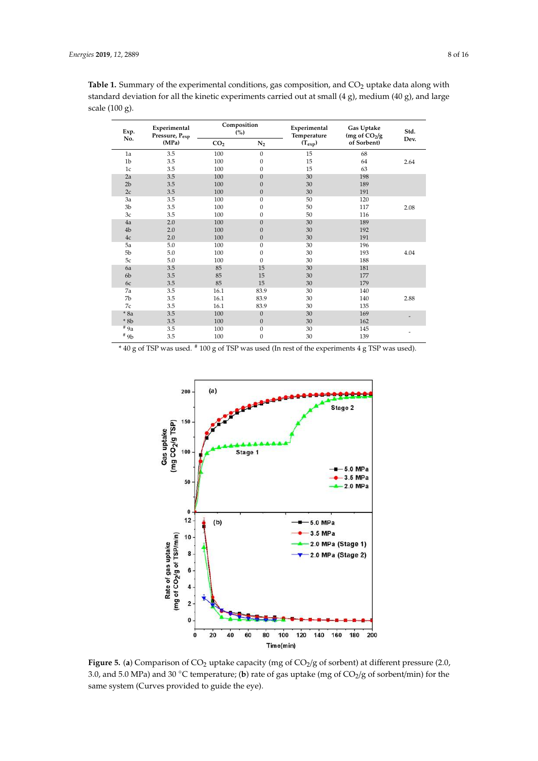| Exp.<br>No.    | Experimental<br>Pressure, Pexp<br>(MPa) | Composition<br>(%) |                  | Experimental<br>Temperature | Gas Uptake<br>(mg of $CO2/g$ | Std. |
|----------------|-----------------------------------------|--------------------|------------------|-----------------------------|------------------------------|------|
|                |                                         | CO <sub>2</sub>    | $N_2$            | $(T_{exp})$                 | of Sorbent)                  | Dev. |
| 1a             | 3.5                                     | 100                | $\boldsymbol{0}$ | 15                          | 68                           |      |
| 1 <sub>b</sub> | 3.5                                     | 100                | 0                | 15                          | 64                           | 2.64 |
| 1c             | 3.5                                     | 100                | 0                | 15                          | 63                           |      |
| 2a             | 3.5                                     | 100                | $\boldsymbol{0}$ | 30                          | 198                          |      |
| 2 <sub>b</sub> | 3.5                                     | 100                | $\boldsymbol{0}$ | 30                          | 189                          |      |
| 2c             | 3.5                                     | 100                | $\boldsymbol{0}$ | 30                          | 191                          |      |
| 3a             | 3.5                                     | 100                | $\overline{0}$   | 50                          | 120                          |      |
| 3 <sub>b</sub> | 3.5                                     | 100                | 0                | 50                          | 117                          | 2.08 |
| 3c             | 3.5                                     | 100                | 0                | 50                          | 116                          |      |
| 4a             | 2.0                                     | 100                | $\boldsymbol{0}$ | 30                          | 189                          |      |
| 4 <sub>b</sub> | 2.0                                     | 100                | $\mathbf{0}$     | 30                          | 192                          |      |
| 4c             | 2.0                                     | 100                | $\boldsymbol{0}$ | 30                          | 191                          |      |
| 5a             | 5.0                                     | 100                | $\boldsymbol{0}$ | 30                          | 196                          |      |
| 5 <sub>b</sub> | 5.0                                     | 100                | 0                | 30                          | 193                          | 4.04 |
| 5c             | 5.0                                     | 100                | $\mathbf{0}$     | 30                          | 188                          |      |
| 6a             | 3.5                                     | 85                 | 15               | 30                          | 181                          |      |
| 6b             | 3.5                                     | 85                 | 15               | 30                          | 177                          |      |
| 6с             | 3.5                                     | 85                 | 15               | 30                          | 179                          |      |
| 7a             | 3.5                                     | 16.1               | 83.9             | 30                          | 140                          |      |
| 7b             | 3.5                                     | 16.1               | 83.9             | 30                          | 140                          | 2.88 |
| 7c             | 3.5                                     | 16.1               | 83.9             | 30                          | 135                          |      |
| $*8a$          | 3.5                                     | 100                | $\boldsymbol{0}$ | 30                          | 169                          |      |
| $*8b$          | 3.5                                     | 100                | $\boldsymbol{0}$ | 30                          | 162                          |      |
| # 9a           | 3.5                                     | 100                | $\boldsymbol{0}$ | 30                          | 145                          |      |
| $^\#$ 9b       | 3.5                                     | 100                | 0                | 30                          | 139                          |      |

Table 1. Summary of the experimental conditions, gas composition, and CO<sub>2</sub> uptake data along with standard deviation for all the kinetic experiments carried out at small  $(4 g)$ , medium  $(40 g)$ , and large scale (100 g).

 $^{\ast}$  40 g of TSP was used.  $^{\sharp}$  100 g of TSP was used (In rest of the experiments 4 g TSP was used).



Figure 5. (a) Comparison of CO<sub>2</sub> uptake capacity (mg of CO<sub>2</sub>/g of sorbent) at different pressure (2.0, 3.0, and 5.0 MPa) and 30 °C temperature; (**b**) rate of gas uptake (mg of  $CO_2/g$  of sorbent/min) for the same system (Curves provided to guide the eye).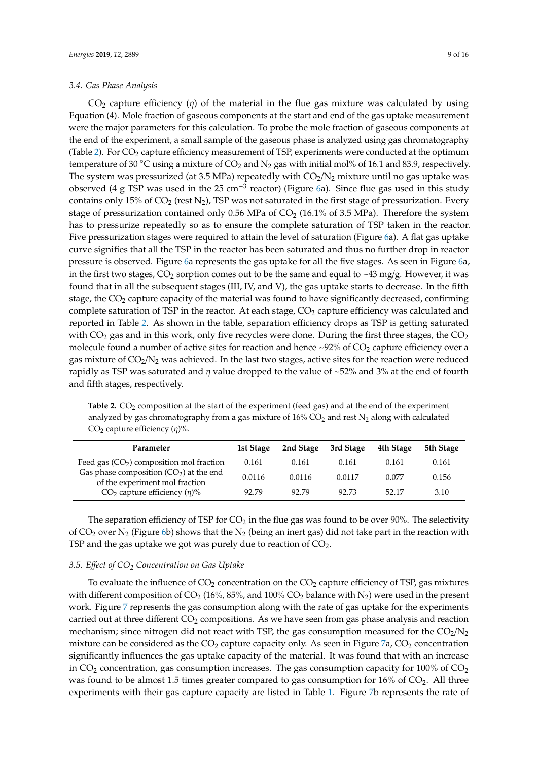#### *3.4. Gas Phase Analysis*

 $CO<sub>2</sub>$  capture efficiency ( $\eta$ ) of the material in the flue gas mixture was calculated by using Equation (4). Mole fraction of gaseous components at the start and end of the gas uptake measurement were the major parameters for this calculation. To probe the mole fraction of gaseous components at the end of the experiment, a small sample of the gaseous phase is analyzed using gas chromatography (Table 2). For  $CO_2$  capture efficiency measurement of TSP, experiments were conducted at the optimum temperature of 30 °C using a mixture of CO<sub>2</sub> and N<sub>2</sub> gas with initial mol% of 16.1 and 83.9, respectively. The system was pressurized (at 3.5 MPa) repeatedly with  $CO<sub>2</sub>/N<sub>2</sub>$  mixture until no gas uptake was observed (4 g TSP was used in the 25 cm<sup>-3</sup> reactor) (Figure 6a). Since flue gas used in this study contains only 15% of  $CO_2$  (rest N<sub>2</sub>), TSP was not saturated in the first stage of pressurization. Every stage of pressurization contained only 0.56 MPa of  $CO<sub>2</sub>$  (16.1% of 3.5 MPa). Therefore the system has to pressurize repeatedly so as to ensure the complete saturation of TSP taken in the reactor. Five pressurization stages were required to attain the level of saturation (Figure 6a). A flat gas uptake curve signifies that all the TSP in the reactor has been saturated and thus no further drop in reactor pressure is observed. Figure 6a represents the gas uptake for all the five stages. As seen in Figure 6a, in the first two stages,  $CO_2$  sorption comes out to be the same and equal to ~43 mg/g. However, it was found that in all the subsequent stages (III, IV, and V), the gas uptake starts to decrease. In the fifth stage, the  $CO<sub>2</sub>$  capture capacity of the material was found to have significantly decreased, confirming complete saturation of TSP in the reactor. At each stage,  $CO<sub>2</sub>$  capture efficiency was calculated and reported in Table 2. As shown in the table, separation efficiency drops as TSP is getting saturated with  $CO<sub>2</sub>$  gas and in this work, only five recycles were done. During the first three stages, the  $CO<sub>2</sub>$ molecule found a number of active sites for reaction and hence  $\sim$ 92% of CO<sub>2</sub> capture efficiency over a gas mixture of  $CO_2/N_2$  was achieved. In the last two stages, active sites for the reaction were reduced rapidly as TSP was saturated and  $\eta$  value dropped to the value of ~52% and 3% at the end of fourth and fifth stages, respectively.

**Table 2.**  $CO<sub>2</sub>$  composition at the start of the experiment (feed gas) and at the end of the experiment analyzed by gas chromatography from a gas mixture of  $16\%$  CO<sub>2</sub> and rest N<sub>2</sub> along with calculated CO<sub>2</sub> capture efficiency  $(\eta)$ %.

| Parameter                                                                  | 1st Stage | 2nd Stage | 3rd Stage | 4th Stage | 5th Stage |
|----------------------------------------------------------------------------|-----------|-----------|-----------|-----------|-----------|
| Feed gas $(CO2)$ composition mol fraction                                  | 0.161     | 0.161     | 0.161     | 0.161     | 0.161     |
| Gas phase composition $(CO2)$ at the end<br>of the experiment mol fraction | 0.0116    | 0.0116    | 0.0117    | 0.077     | 0.156     |
| $CO2$ capture efficiency $(\eta)$ %                                        | 92.79     | 92.79     | 92.73     | 52.17     | 3.10      |

The separation efficiency of TSP for  $CO<sub>2</sub>$  in the flue gas was found to be over 90%. The selectivity of  $CO_2$  over N<sub>2</sub> (Figure 6b) shows that the N<sub>2</sub> (being an inert gas) did not take part in the reaction with TSP and the gas uptake we got was purely due to reaction of  $CO<sub>2</sub>$ .

#### *3.5. E*ff*ect of CO<sup>2</sup> Concentration on Gas Uptake*

To evaluate the influence of  $CO<sub>2</sub>$  concentration on the  $CO<sub>2</sub>$  capture efficiency of TSP, gas mixtures with different composition of  $CO_2$  (16%, 85%, and 100%  $CO_2$  balance with N<sub>2</sub>) were used in the present work. Figure 7 represents the gas consumption along with the rate of gas uptake for the experiments carried out at three different  $CO<sub>2</sub>$  compositions. As we have seen from gas phase analysis and reaction mechanism; since nitrogen did not react with TSP, the gas consumption measured for the  $CO<sub>2</sub>/N<sub>2</sub>$ mixture can be considered as the  $CO<sub>2</sub>$  capture capacity only. As seen in Figure 7a,  $CO<sub>2</sub>$  concentration significantly influences the gas uptake capacity of the material. It was found that with an increase in CO<sub>2</sub> concentration, gas consumption increases. The gas consumption capacity for  $100\%$  of CO<sub>2</sub> was found to be almost 1.5 times greater compared to gas consumption for  $16\%$  of  $CO<sub>2</sub>$ . All three experiments with their gas capture capacity are listed in Table 1. Figure 7b represents the rate of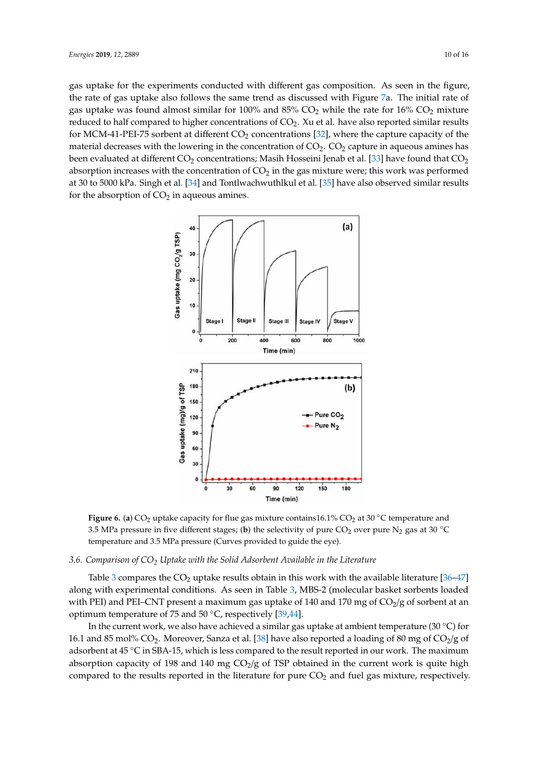gas uptake for the experiments conducted with different gas composition. As seen in the figure, the rate of gas uptake also follows the same trend as discussed with Figure 7a. The initial rate of gas uptake was found almost similar for 100% and  $85\%$  CO<sub>2</sub> while the rate for 16% CO<sub>2</sub> mixture reduced to half compared to higher concentrations of  $CO<sub>2</sub>$ . Xu et al. have also reported similar results for MCM-41-PEI-75 sorbent at different  $CO<sub>2</sub>$  concentrations [32], where the capture capacity of the material decreases with the lowering in the concentration of  $CO<sub>2</sub>$ .  $CO<sub>2</sub>$  capture in aqueous amines has been evaluated at different  $CO_2$  concentrations; Masih Hosseini Jenab et al. [33] have found that  $CO_2$ absorption increases with the concentration of  $CO<sub>2</sub>$  in the gas mixture were; this work was performed at 30 to 5000 kPa. Singh et al. [34] and Tontlwachwuthlkul et al. [35] have also observed similar results for the absorption of  $CO<sub>2</sub>$  in aqueous amines.



Figure 6. (a) CO<sub>2</sub> uptake capacity for flue gas mixture contains16.1% CO<sub>2</sub> at 30 °C temperature and 3.5 MPa pressure in five different stages; (**b**) the selectivity of pure  $CO_2$  over pure N<sub>2</sub> gas at 30 <sup>°</sup>C temperature and 3.5 MPa pressure (Curves provided to guide the eye).

#### *3.6. Comparison of CO<sup>2</sup> Uptake with the Solid Adsorbent Available in the Literature*

Table 3 compares the  $CO<sub>2</sub>$  uptake results obtain in this work with the available literature [36–47] along with experimental conditions. As seen in Table 3, MBS-2 (molecular basket sorbents loaded with PEI) and PEI–CNT present a maximum gas uptake of 140 and 170 mg of  $CO<sub>2</sub>/g$  of sorbent at an optimum temperature of 75 and 50 ◦C, respectively [39,44].

In the current work, we also have achieved a similar gas uptake at ambient temperature (30 ◦C) for 16.1 and 85 mol% CO<sub>2</sub>. Moreover, Sanza et al. [38] have also reported a loading of 80 mg of CO<sub>2</sub>/g of adsorbent at 45 ◦C in SBA-15, which is less compared to the result reported in our work. The maximum absorption capacity of 198 and 140 mg  $CO<sub>2</sub>/g$  of TSP obtained in the current work is quite high compared to the results reported in the literature for pure  $CO<sub>2</sub>$  and fuel gas mixture, respectively.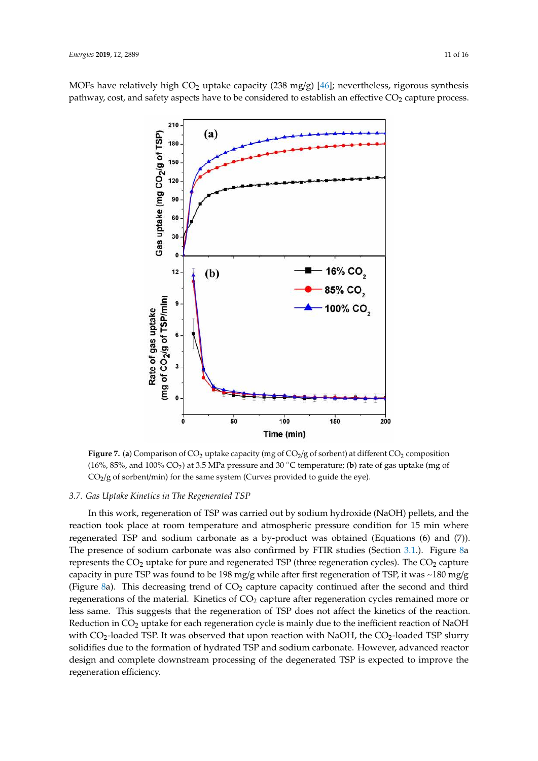MOFs have relatively high  $CO<sub>2</sub>$  uptake capacity (238 mg/g) [46]; nevertheless, rigorous synthesis pathway, cost, and safety aspects have to be considered to establish an effective  $CO<sub>2</sub>$  capture process.



**Figure 7. (a) Comparison of CO<sub>2</sub> uptake capacity (mg of CO<sub>2</sub>/g of sorbent) at different CO<sub>2</sub> composition** (16%, 85%, and 100% CO<sup>2</sup> ) at 3.5 MPa pressure and 30 ◦C temperature; (**b**) rate of gas uptake (mg of CO<sub>2</sub>/g of sorbent/min) for the same system (Curves provided to guide the eye).

#### *3.7. Gas Uptake Kinetics in The Regenerated TSP*

In this work, regeneration of TSP was carried out by sodium hydroxide (NaOH) pellets, and the reaction took place at room temperature and atmospheric pressure condition for 15 min where regenerated TSP and sodium carbonate as a by-product was obtained (Equations (6) and (7)). The presence of sodium carbonate was also confirmed by FTIR studies (Section 3.1.). Figure 8a represents the  $CO<sub>2</sub>$  uptake for pure and regenerated TSP (three regeneration cycles). The  $CO<sub>2</sub>$  capture capacity in pure TSP was found to be 198 mg/g while after first regeneration of TSP, it was ~180 mg/g (Figure 8a). This decreasing trend of  $CO<sub>2</sub>$  capture capacity continued after the second and third regenerations of the material. Kinetics of  $CO<sub>2</sub>$  capture after regeneration cycles remained more or less same. This suggests that the regeneration of TSP does not affect the kinetics of the reaction. Reduction in CO<sub>2</sub> uptake for each regeneration cycle is mainly due to the inefficient reaction of NaOH with  $CO<sub>2</sub>$ -loaded TSP. It was observed that upon reaction with NaOH, the  $CO<sub>2</sub>$ -loaded TSP slurry solidifies due to the formation of hydrated TSP and sodium carbonate. However, advanced reactor design and complete downstream processing of the degenerated TSP is expected to improve the regeneration efficiency.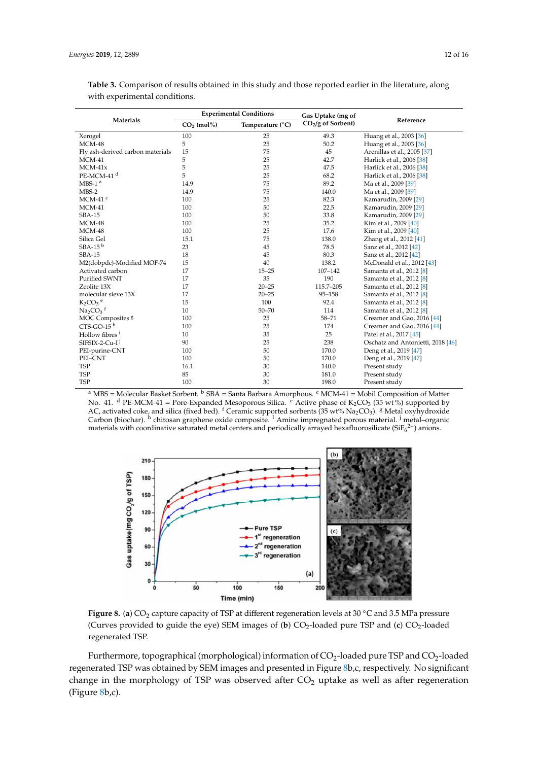|                                  | <b>Experimental Conditions</b> |                           | Gas Uptake (mg of              |                                   |  |
|----------------------------------|--------------------------------|---------------------------|--------------------------------|-----------------------------------|--|
| Materials                        | $CO2$ (mol%)                   | Temperature $(^{\circ}C)$ | CO <sub>2</sub> /g of Sorbent) | Reference                         |  |
| Xerogel                          | 100                            | 25                        | 49.3                           | Huang et al., 2003 [36]           |  |
| MCM-48                           | 5                              | 25                        | 50.2                           | Huang et al., 2003 [36]           |  |
| Fly ash-derived carbon materials | 15                             | 75                        | 45                             | Arenillas et al., 2005 [37]       |  |
| $MCM-41$                         | 5                              | 25                        | 42.7                           | Harlick et al., 2006 [38]         |  |
| $MCM-41x$                        | 5                              | 25                        | 47.5                           | Harlick et al., 2006 [38]         |  |
| PE-MCM-41 <sup>d</sup>           | 5                              | 25                        | 68.2                           | Harlick et al., 2006 [38]         |  |
| $MBS-1a$                         | 14.9                           | 75                        | 89.2                           | Ma et al., 2009 [39]              |  |
| $MBS-2$                          | 14.9                           | 75                        | 140.0                          | Ma et al., 2009 [39]              |  |
| $MCM-41$ <sup>c</sup>            | 100                            | 25                        | 82.3                           | Kamarudin, 2009 [29]              |  |
| $MCM-41$                         | 100                            | 50                        | 22.5                           | Kamarudin, 2009 [29]              |  |
| <b>SBA-15</b>                    | 100                            | 50                        | 33.8                           | Kamarudin, 2009 [29]              |  |
| $MCM-48$                         | 100                            | 25                        | 35.2                           | Kim et al., 2009 [40]             |  |
| $MCM-48$                         | 100                            | 25                        | 17.6                           | Kim et al., 2009 [40]             |  |
| Silica Gel                       | 15.1                           | 75                        | 138.0                          | Zhang et al., 2012 [41]           |  |
| $SBA-15b$                        | 23                             | 45                        | 78.5                           | Sanz et al., 2012 [42]            |  |
| $SBA-15$                         | 18                             | 45                        | 80.3                           | Sanz et al., 2012 [42]            |  |
| M2(dobpdc)-Modified MOF-74       | 15                             | 40                        | 138.2                          | McDonald et al., 2012 [43]        |  |
| Activated carbon                 | 17                             | $15 - 25$                 | 107-142                        | Samanta et al., 2012 [8]          |  |
| Purified SWNT                    | 17                             | 35                        | 190                            | Samanta et al., 2012 [8]          |  |
| Zeolite 13X                      | 17                             | $20 - 25$                 | 115.7-205                      | Samanta et al., 2012 [8]          |  |
| molecular sieve 13X              | 17                             | $20 - 25$                 | $95 - 158$                     | Samanta et al., 2012 [8]          |  |
| $K_2CO_3$ <sup>e</sup>           | 15                             | 100                       | 92.4                           | Samanta et al., 2012 [8]          |  |
| $Na2CO3$ <sup>f</sup>            | 10                             | $50 - 70$                 | 114                            | Samanta et al., 2012 [8]          |  |
| MOC Composites <sup>g</sup>      | 100                            | 25                        | $58 - 71$                      | Creamer and Gao, 2016 [44]        |  |
| CTS-GO-15 $^{\rm h}$             | 100                            | 25                        | 174                            | Creamer and Gao, 2016 [44]        |  |
| Hollow fibres <sup>i</sup>       | 10                             | 35                        | 25                             | Patel et al., 2017 [45]           |  |
| SIFSIX-2-Cu-I <sup>j</sup>       | 90                             | 25                        | 238                            | Oschatz and Antonietti, 2018 [46] |  |
| PEI-purine-CNT                   | 100                            | 50                        | 170.0                          | Deng et al., 2019 [47]            |  |
| PEI-CNT                          | 100                            | 50                        | 170.0                          | Deng et al., 2019 [47]            |  |
| <b>TSP</b>                       | 16.1                           | 30                        | 140.0                          | Present study                     |  |
| <b>TSP</b>                       | 85                             | 30                        | 181.0                          | Present study                     |  |
| <b>TSP</b>                       | 100                            | 30                        | 198.0                          | Present study                     |  |

**Table 3.** Comparison of results obtained in this study and those reported earlier in the literature, along with experimental conditions.

<sup>a</sup> MBS = Molecular Basket Sorbent. <sup>b</sup> SBA = Santa Barbara Amorphous. <sup>c</sup> MCM-41 = Mobil Composition of Matter No. 41. <sup>d</sup> PE-MCM-41 = Pore-Expanded Mesoporous Silica. <sup>e</sup> Active phase of K<sub>2</sub>CO<sub>3</sub> (35 wt %) supported by AC, activated coke, and silica (fixed bed). <sup>f</sup> Ceramic supported sorbents (35 wt% Na<sub>2</sub>CO<sub>3</sub>). <sup>g</sup> Metal oxyhydroxide Carbon (biochar). <sup>h</sup> chitosan graphene oxide composite. <sup>I</sup> Amine impregnated porous material. <sup>j</sup> metal–organic materials with coordinative saturated metal centers and periodically arrayed hexafluorosilicate (SiF $_6^{2-}$ ) anions.



**Figure 8.** (a) CO<sub>2</sub> capture capacity of TSP at different regeneration levels at 30 °C and 3.5 MPa pressure (Curves provided to guide the eye) SEM images of (**b**) CO<sub>2</sub>-loaded pure TSP and (**c**) CO<sub>2</sub>-loaded regenerated TSP.

Furthermore, topographical (morphological) information of  $CO<sub>2</sub>$ -loaded pure TSP and  $CO<sub>2</sub>$ -loaded regenerated TSP was obtained by SEM images and presented in Figure 8b,c, respectively. No significant change in the morphology of TSP was observed after  $CO<sub>2</sub>$  uptake as well as after regeneration (Figure 8b,c).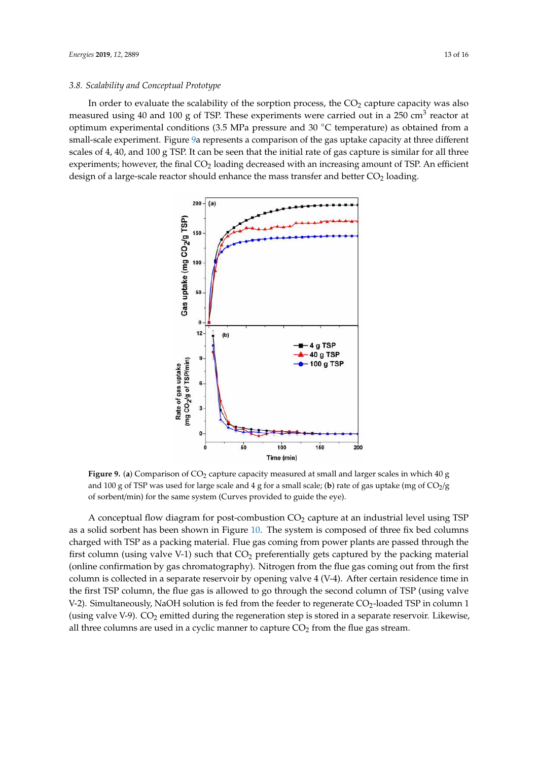#### *3.8. Scalability and Conceptual Prototype*

In order to evaluate the scalability of the sorption process, the  $CO<sub>2</sub>$  capture capacity was also measured using 40 and 100 g of TSP. These experiments were carried out in a 250 cm<sup>3</sup> reactor at optimum experimental conditions (3.5 MPa pressure and 30 ◦C temperature) as obtained from a small-scale experiment. Figure 9a represents a comparison of the gas uptake capacity at three different scales of 4, 40, and 100 g TSP. It can be seen that the initial rate of gas capture is similar for all three experiments; however, the final CO<sub>2</sub> loading decreased with an increasing amount of TSP. An efficient design of a large-scale reactor should enhance the mass transfer and better CO<sub>2</sub> loading.



Figure 9. (a) Comparison of CO<sub>2</sub> capture capacity measured at small and larger scales in which 40 g and 100 g of TSP was used for large scale and 4 g for a small scale; (**b**) rate of gas uptake (mg of  $CO_2/g$ of sorbent/min) for the same system (Curves provided to guide the eye).

A conceptual flow diagram for post-combustion  $CO<sub>2</sub>$  capture at an industrial level using TSP as a solid sorbent has been shown in Figure 10. The system is composed of three fix bed columns charged with TSP as a packing material. Flue gas coming from power plants are passed through the first column (using valve V-1) such that  $CO<sub>2</sub>$  preferentially gets captured by the packing material (online confirmation by gas chromatography). Nitrogen from the flue gas coming out from the first column is collected in a separate reservoir by opening valve 4 (V-4). After certain residence time in the first TSP column, the flue gas is allowed to go through the second column of TSP (using valve V-2). Simultaneously, NaOH solution is fed from the feeder to regenerate  $CO<sub>2</sub>$ -loaded TSP in column 1 (using valve V-9).  $CO<sub>2</sub>$  emitted during the regeneration step is stored in a separate reservoir. Likewise, all three columns are used in a cyclic manner to capture  $CO<sub>2</sub>$  from the flue gas stream.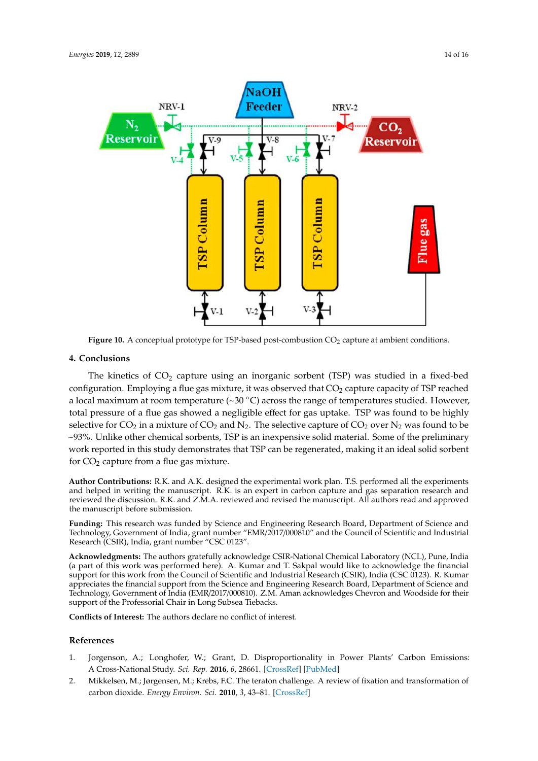

Figure 10. A conceptual prototype for TSP-based post-combustion CO<sub>2</sub> capture at ambient conditions.

## **4. Conclusions**

The kinetics of  $CO<sub>2</sub>$  capture using an inorganic sorbent (TSP) was studied in a fixed-bed configuration. Employing a flue gas mixture, it was observed that CO<sub>2</sub> capture capacity of TSP reached a local maximum at room temperature ( $\sim$ 30 °C) across the range of temperatures studied. However, total pressure of a flue gas showed a negligible effect for gas uptake. TSP was found to be highly selective for  $CO_2$  in a mixture of  $CO_2$  and  $N_2$ . The selective capture of  $CO_2$  over  $N_2$  was found to be  $\sim$ 93%. Unlike other chemical sorbents, TSP is an inexpensive solid material. Some of the preliminary work reported in this study demonstrates that TSP can be regenerated, making it an ideal solid sorbent for  $CO<sub>2</sub>$  capture from a flue gas mixture.

**Author Contributions:** R.K. and A.K. designed the experimental work plan. T.S. performed all the experiments and helped in writing the manuscript. R.K. is an expert in carbon capture and gas separation research and reviewed the discussion. R.K. and Z.M.A. reviewed and revised the manuscript. All authors read and approved the manuscript before submission.

**Funding:** This research was funded by Science and Engineering Research Board, Department of Science and Technology, Government of India, grant number "EMR/2017/000810" and the Council of Scientific and Industrial Research (CSIR), India, grant number "CSC 0123".

**Acknowledgments:** The authors gratefully acknowledge CSIR-National Chemical Laboratory (NCL), Pune, India (a part of this work was performed here). A. Kumar and T. Sakpal would like to acknowledge the financial support for this work from the Council of Scientific and Industrial Research (CSIR), India (CSC 0123). R. Kumar appreciates the financial support from the Science and Engineering Research Board, Department of Science and Technology, Government of India (EMR/2017/000810). Z.M. Aman acknowledges Chevron and Woodside for their support of the Professorial Chair in Long Subsea Tiebacks.

**Conflicts of Interest:** The authors declare no conflict of interest.

#### **References**

- 1. Jorgenson, A.; Longhofer, W.; Grant, D. Disproportionality in Power Plants' Carbon Emissions: A Cross-National Study. *Sci. Rep.* **2016**, *6*, 28661. [CrossRef] [PubMed]
- 2. Mikkelsen, M.; Jørgensen, M.; Krebs, F.C. The teraton challenge. A review of fixation and transformation of carbon dioxide. *Energy Environ. Sci.* **2010**, *3*, 43–81. [CrossRef]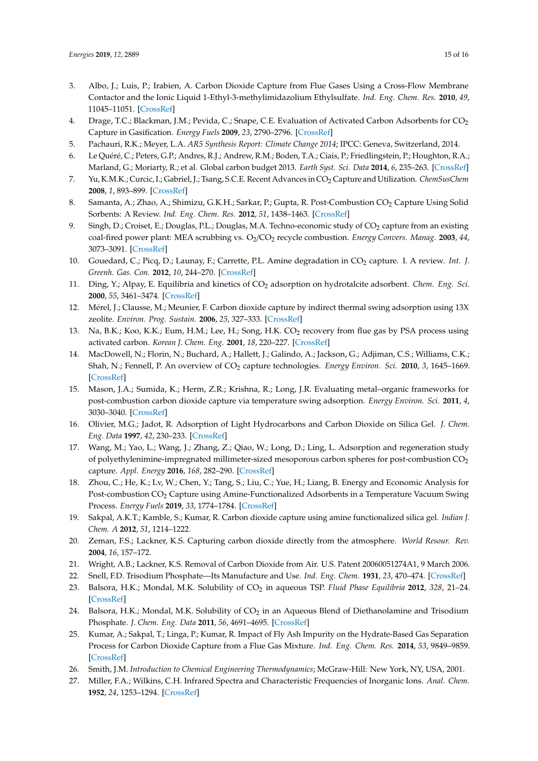- 3. Albo, J.; Luis, P.; Irabien, A. Carbon Dioxide Capture from Flue Gases Using a Cross-Flow Membrane Contactor and the Ionic Liquid 1-Ethyl-3-methylimidazolium Ethylsulfate. *Ind. Eng. Chem. Res.* **2010**, *49*, 11045–11051. [CrossRef]
- 4. Drage, T.C.; Blackman, J.M.; Pevida, C.; Snape, C.E. Evaluation of Activated Carbon Adsorbents for CO<sub>2</sub> Capture in Gasification. *Energy Fuels* **2009**, *23*, 2790–2796. [CrossRef]
- 5. Pachauri, R.K.; Meyer, L.A. *AR5 Synthesis Report: Climate Change 2014*; IPCC: Geneva, Switzerland, 2014.
- 6. Le Quéré, C.; Peters, G.P.; Andres, R.J.; Andrew, R.M.; Boden, T.A.; Ciais, P.; Friedlingstein, P.; Houghton, R.A.; Marland, G.; Moriarty, R.; et al. Global carbon budget 2013. *Earth Syst. Sci. Data* **2014**, *6*, 235–263. [CrossRef]
- 7. Yu, K.M.K.; Curcic, I.; Gabriel, J.; Tsang, S.C.E. Recent Advances in CO<sup>2</sup> Capture and Utilization. *ChemSusChem* **2008**, *1*, 893–899. [CrossRef]
- 8. Samanta, A.; Zhao, A.; Shimizu, G.K.H.; Sarkar, P.; Gupta, R. Post-Combustion CO<sub>2</sub> Capture Using Solid Sorbents: A Review. *Ind. Eng. Chem. Res.* **2012**, *51*, 1438–1463. [CrossRef]
- 9. Singh, D.; Croiset, E.; Douglas, P.L.; Douglas, M.A. Techno-economic study of CO<sub>2</sub> capture from an existing coal-fired power plant: MEA scrubbing vs. O<sup>2</sup> /CO<sup>2</sup> recycle combustion. *Energy Convers. Manag.* **2003**, *44*, 3073–3091. [CrossRef]
- 10. Gouedard, C.; Picq, D.; Launay, F.; Carrette, P.L. Amine degradation in CO<sub>2</sub> capture. I. A review. *Int.* J. *Greenh. Gas. Con.* **2012**, *10*, 244–270. [CrossRef]
- 11. Ding, Y.; Alpay, E. Equilibria and kinetics of CO<sub>2</sub> adsorption on hydrotalcite adsorbent. *Chem. Eng. Sci.* **2000**, *55*, 3461–3474. [CrossRef]
- 12. Mérel, J.; Clausse, M.; Meunier, F. Carbon dioxide capture by indirect thermal swing adsorption using 13X zeolite. *Environ. Prog. Sustain.* **2006**, *25*, 327–333. [CrossRef]
- 13. Na, B.K.; Koo, K.K.; Eum, H.M.; Lee, H.; Song, H.K. CO<sub>2</sub> recovery from flue gas by PSA process using activated carbon. *Korean J. Chem. Eng.* **2001**, *18*, 220–227. [CrossRef]
- 14. MacDowell, N.; Florin, N.; Buchard, A.; Hallett, J.; Galindo, A.; Jackson, G.; Adjiman, C.S.; Williams, C.K.; Shah, N.; Fennell, P. An overview of CO<sup>2</sup> capture technologies. *Energy Environ. Sci.* **2010**, *3*, 1645–1669. [CrossRef]
- 15. Mason, J.A.; Sumida, K.; Herm, Z.R.; Krishna, R.; Long, J.R. Evaluating metal–organic frameworks for post-combustion carbon dioxide capture via temperature swing adsorption. *Energy Environ. Sci.* **2011**, *4*, 3030–3040. [CrossRef]
- 16. Olivier, M.G.; Jadot, R. Adsorption of Light Hydrocarbons and Carbon Dioxide on Silica Gel. *J. Chem. Eng. Data* **1997**, *42*, 230–233. [CrossRef]
- 17. Wang, M.; Yao, L.; Wang, J.; Zhang, Z.; Qiao, W.; Long, D.; Ling, L. Adsorption and regeneration study of polyethylenimine-impregnated millimeter-sized mesoporous carbon spheres for post-combustion CO<sup>2</sup> capture. *Appl. Energy* **2016**, *168*, 282–290. [CrossRef]
- 18. Zhou, C.; He, K.; Lv, W.; Chen, Y.; Tang, S.; Liu, C.; Yue, H.; Liang, B. Energy and Economic Analysis for Post-combustion CO<sub>2</sub> Capture using Amine-Functionalized Adsorbents in a Temperature Vacuum Swing Process. *Energy Fuels* **2019**, *33*, 1774–1784. [CrossRef]
- 19. Sakpal, A.K.T.; Kamble, S.; Kumar, R. Carbon dioxide capture using amine functionalized silica gel. *Indian J. Chem. A* **2012**, *51*, 1214–1222.
- 20. Zeman, F.S.; Lackner, K.S. Capturing carbon dioxide directly from the atmosphere. *World Resour. Rev.* **2004**, *16*, 157–172.
- 21. Wright, A.B.; Lackner, K.S. Removal of Carbon Dioxide from Air. U.S. Patent 20060051274A1, 9 March 2006.
- 22. Snell, F.D. Trisodium Phosphate—Its Manufacture and Use. *Ind. Eng. Chem.* **1931**, *23*, 470–474. [CrossRef]
- 23. Balsora, H.K.; Mondal, M.K. Solubility of CO<sub>2</sub> in aqueous TSP. *Fluid Phase Equilibria* 2012, 328, 21–24. [CrossRef]
- 24. Balsora, H.K.; Mondal, M.K. Solubility of CO<sub>2</sub> in an Aqueous Blend of Diethanolamine and Trisodium Phosphate. *J. Chem. Eng. Data* **2011**, *56*, 4691–4695. [CrossRef]
- 25. Kumar, A.; Sakpal, T.; Linga, P.; Kumar, R. Impact of Fly Ash Impurity on the Hydrate-Based Gas Separation Process for Carbon Dioxide Capture from a Flue Gas Mixture. *Ind. Eng. Chem. Res.* **2014**, *53*, 9849–9859. [CrossRef]
- 26. Smith, J.M. *Introduction to Chemical Engineering Thermodynamics*; McGraw-Hill: New York, NY, USA, 2001.
- 27. Miller, F.A.; Wilkins, C.H. Infrared Spectra and Characteristic Frequencies of Inorganic Ions. *Anal. Chem.* **1952**, *24*, 1253–1294. [CrossRef]